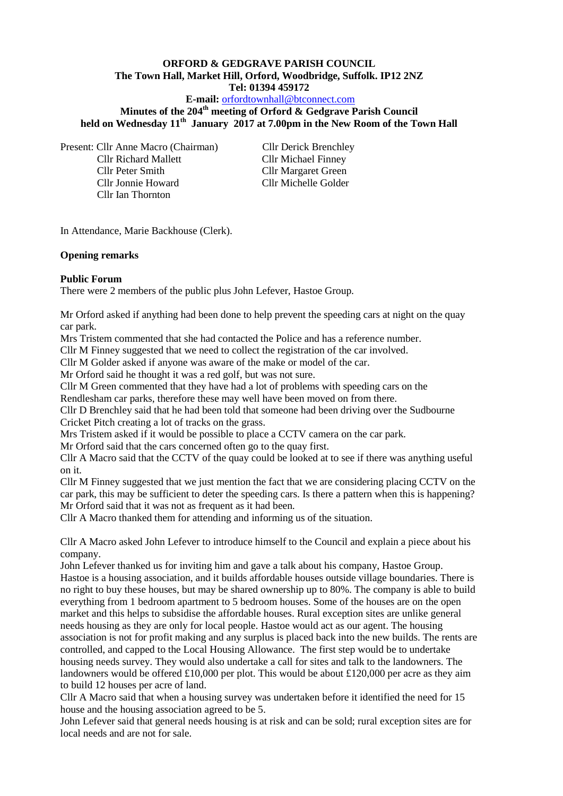### **ORFORD & GEDGRAVE PARISH COUNCIL The Town Hall, Market Hill, Orford, Woodbridge, Suffolk. IP12 2NZ Tel: 01394 459172**

**E-mail:** [orfordtownhall@btconnect.com](mailto:orfordtownhall@btconnect.com)

**Minutes of the 204th meeting of Orford & Gedgrave Parish Council held on Wednesday 11th January 2017 at 7.00pm in the New Room of the Town Hall**

Present: Cllr Anne Macro (Chairman) Cllr Derick Brenchley Cllr Richard Mallett Cllr Michael Finney Cllr Peter Smith Cllr Margaret Green Cllr Jonnie Howard Cllr Michelle Golder

Cllr Ian Thornton

In Attendance, Marie Backhouse (Clerk).

### **Opening remarks**

### **Public Forum**

There were 2 members of the public plus John Lefever, Hastoe Group.

Mr Orford asked if anything had been done to help prevent the speeding cars at night on the quay car park.

Mrs Tristem commented that she had contacted the Police and has a reference number.

Cllr M Finney suggested that we need to collect the registration of the car involved.

Cllr M Golder asked if anyone was aware of the make or model of the car.

Mr Orford said he thought it was a red golf, but was not sure.

Cllr M Green commented that they have had a lot of problems with speeding cars on the

Rendlesham car parks, therefore these may well have been moved on from there.

Cllr D Brenchley said that he had been told that someone had been driving over the Sudbourne Cricket Pitch creating a lot of tracks on the grass.

Mrs Tristem asked if it would be possible to place a CCTV camera on the car park.

Mr Orford said that the cars concerned often go to the quay first.

Cllr A Macro said that the CCTV of the quay could be looked at to see if there was anything useful on it.

Cllr M Finney suggested that we just mention the fact that we are considering placing CCTV on the car park, this may be sufficient to deter the speeding cars. Is there a pattern when this is happening? Mr Orford said that it was not as frequent as it had been.

Cllr A Macro thanked them for attending and informing us of the situation.

Cllr A Macro asked John Lefever to introduce himself to the Council and explain a piece about his company.

John Lefever thanked us for inviting him and gave a talk about his company, Hastoe Group. Hastoe is a housing association, and it builds affordable houses outside village boundaries. There is no right to buy these houses, but may be shared ownership up to 80%. The company is able to build everything from 1 bedroom apartment to 5 bedroom houses. Some of the houses are on the open market and this helps to subsidise the affordable houses. Rural exception sites are unlike general needs housing as they are only for local people. Hastoe would act as our agent. The housing association is not for profit making and any surplus is placed back into the new builds. The rents are controlled, and capped to the Local Housing Allowance. The first step would be to undertake housing needs survey. They would also undertake a call for sites and talk to the landowners. The landowners would be offered £10,000 per plot. This would be about £120,000 per acre as they aim to build 12 houses per acre of land.

Cllr A Macro said that when a housing survey was undertaken before it identified the need for 15 house and the housing association agreed to be 5.

John Lefever said that general needs housing is at risk and can be sold; rural exception sites are for local needs and are not for sale.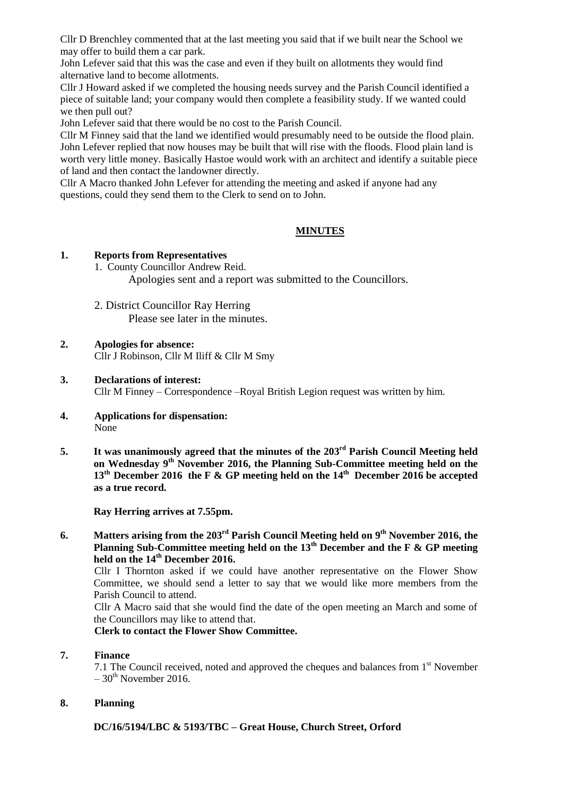Cllr D Brenchley commented that at the last meeting you said that if we built near the School we may offer to build them a car park.

John Lefever said that this was the case and even if they built on allotments they would find alternative land to become allotments.

Cllr J Howard asked if we completed the housing needs survey and the Parish Council identified a piece of suitable land; your company would then complete a feasibility study. If we wanted could we then pull out?

John Lefever said that there would be no cost to the Parish Council.

Cllr M Finney said that the land we identified would presumably need to be outside the flood plain. John Lefever replied that now houses may be built that will rise with the floods. Flood plain land is worth very little money. Basically Hastoe would work with an architect and identify a suitable piece of land and then contact the landowner directly.

Cllr A Macro thanked John Lefever for attending the meeting and asked if anyone had any questions, could they send them to the Clerk to send on to John.

# **MINUTES**

### **1. Reports from Representatives**

1. County Councillor Andrew Reid.

Apologies sent and a report was submitted to the Councillors.

- 2. District Councillor Ray Herring Please see later in the minutes.
- **2. Apologies for absence:** Cllr J Robinson, Cllr M Iliff & Cllr M Smy
- **3. Declarations of interest:** Cllr M Finney – Correspondence –Royal British Legion request was written by him.
- **4. Applications for dispensation:** None
- **5. It was unanimously agreed that the minutes of the 203rd Parish Council Meeting held on Wednesday 9th November 2016, the Planning Sub-Committee meeting held on the 13th December 2016 the F & GP meeting held on the 14th December 2016 be accepted as a true record.**

**Ray Herring arrives at 7.55pm.**

**6. Matters arising from the 203rd Parish Council Meeting held on 9th November 2016, the Planning Sub-Committee meeting held on the 13th December and the F & GP meeting held on the 14th December 2016.**

Cllr I Thornton asked if we could have another representative on the Flower Show Committee, we should send a letter to say that we would like more members from the Parish Council to attend.

Cllr A Macro said that she would find the date of the open meeting an March and some of the Councillors may like to attend that.

**Clerk to contact the Flower Show Committee.**

## **7. Finance**

7.1 The Council received, noted and approved the cheques and balances from  $1<sup>st</sup>$  November  $-30$ <sup>th</sup> November 2016.

## **8. Planning**

**DC/16/5194/LBC & 5193/TBC – Great House, Church Street, Orford**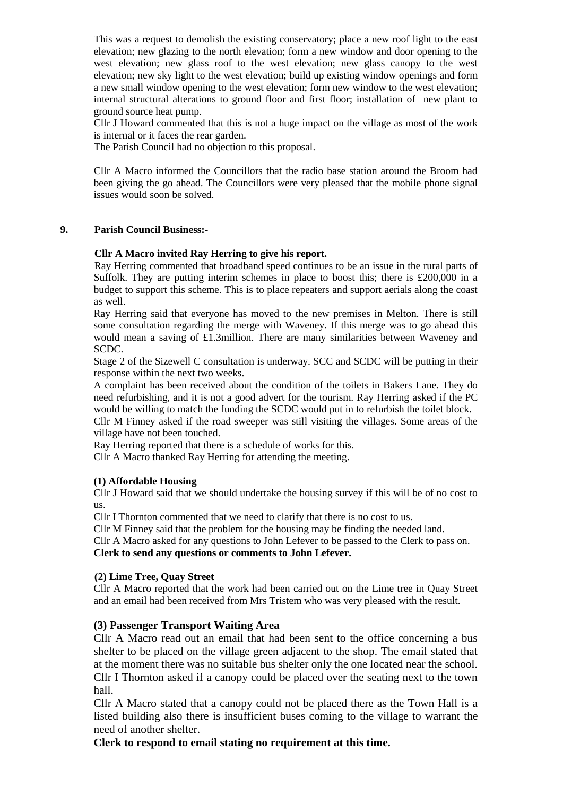This was a request to demolish the existing conservatory; place a new roof light to the east elevation; new glazing to the north elevation; form a new window and door opening to the west elevation; new glass roof to the west elevation; new glass canopy to the west elevation; new sky light to the west elevation; build up existing window openings and form a new small window opening to the west elevation; form new window to the west elevation; internal structural alterations to ground floor and first floor; installation of new plant to ground source heat pump.

Cllr J Howard commented that this is not a huge impact on the village as most of the work is internal or it faces the rear garden.

The Parish Council had no objection to this proposal.

Cllr A Macro informed the Councillors that the radio base station around the Broom had been giving the go ahead. The Councillors were very pleased that the mobile phone signal issues would soon be solved.

#### **9. Parish Council Business:-**

#### **Cllr A Macro invited Ray Herring to give his report.**

Ray Herring commented that broadband speed continues to be an issue in the rural parts of Suffolk. They are putting interim schemes in place to boost this; there is £200,000 in a budget to support this scheme. This is to place repeaters and support aerials along the coast as well.

Ray Herring said that everyone has moved to the new premises in Melton. There is still some consultation regarding the merge with Waveney. If this merge was to go ahead this would mean a saving of £1.3million. There are many similarities between Waveney and SCDC.

Stage 2 of the Sizewell C consultation is underway. SCC and SCDC will be putting in their response within the next two weeks.

A complaint has been received about the condition of the toilets in Bakers Lane. They do need refurbishing, and it is not a good advert for the tourism. Ray Herring asked if the PC would be willing to match the funding the SCDC would put in to refurbish the toilet block.

Cllr M Finney asked if the road sweeper was still visiting the villages. Some areas of the village have not been touched.

Ray Herring reported that there is a schedule of works for this.

Cllr A Macro thanked Ray Herring for attending the meeting.

### **(1) Affordable Housing**

Cllr J Howard said that we should undertake the housing survey if this will be of no cost to us.

Cllr I Thornton commented that we need to clarify that there is no cost to us.

Cllr M Finney said that the problem for the housing may be finding the needed land. Cllr A Macro asked for any questions to John Lefever to be passed to the Clerk to pass on. **Clerk to send any questions or comments to John Lefever.**

#### **(2) Lime Tree, Quay Street**

Cllr A Macro reported that the work had been carried out on the Lime tree in Quay Street and an email had been received from Mrs Tristem who was very pleased with the result.

### **(3) Passenger Transport Waiting Area**

Cllr A Macro read out an email that had been sent to the office concerning a bus shelter to be placed on the village green adjacent to the shop. The email stated that at the moment there was no suitable bus shelter only the one located near the school. Cllr I Thornton asked if a canopy could be placed over the seating next to the town hall.

Cllr A Macro stated that a canopy could not be placed there as the Town Hall is a listed building also there is insufficient buses coming to the village to warrant the need of another shelter.

**Clerk to respond to email stating no requirement at this time.**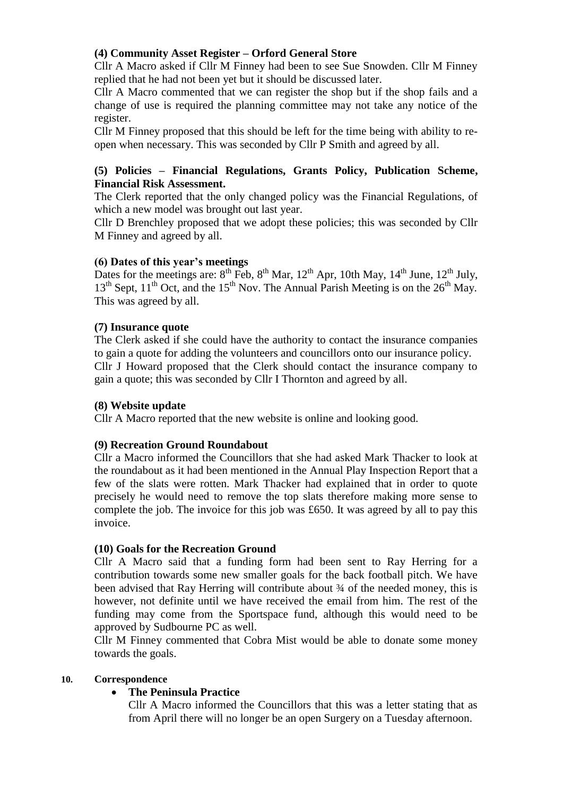# **(4) Community Asset Register – Orford General Store**

Cllr A Macro asked if Cllr M Finney had been to see Sue Snowden. Cllr M Finney replied that he had not been yet but it should be discussed later.

Cllr A Macro commented that we can register the shop but if the shop fails and a change of use is required the planning committee may not take any notice of the register.

Cllr M Finney proposed that this should be left for the time being with ability to reopen when necessary. This was seconded by Cllr P Smith and agreed by all.

# **(5) Policies – Financial Regulations, Grants Policy, Publication Scheme, Financial Risk Assessment.**

The Clerk reported that the only changed policy was the Financial Regulations, of which a new model was brought out last year.

Cllr D Brenchley proposed that we adopt these policies; this was seconded by Cllr M Finney and agreed by all.

## **(6) Dates of this year's meetings**

Dates for the meetings are:  $8^{th}$  Feb,  $8^{th}$  Mar,  $12^{th}$  Apr, 10th May,  $14^{th}$  June,  $12^{th}$  July, 13<sup>th</sup> Sept.  $11^{th}$  Oct, and the  $15^{th}$  Nov. The Annual Parish Meeting is on the  $26^{th}$  May. This was agreed by all.

# **(7) Insurance quote**

The Clerk asked if she could have the authority to contact the insurance companies to gain a quote for adding the volunteers and councillors onto our insurance policy. Cllr J Howard proposed that the Clerk should contact the insurance company to gain a quote; this was seconded by Cllr I Thornton and agreed by all.

## **(8) Website update**

Cllr A Macro reported that the new website is online and looking good.

# **(9) Recreation Ground Roundabout**

Cllr a Macro informed the Councillors that she had asked Mark Thacker to look at the roundabout as it had been mentioned in the Annual Play Inspection Report that a few of the slats were rotten. Mark Thacker had explained that in order to quote precisely he would need to remove the top slats therefore making more sense to complete the job. The invoice for this job was £650. It was agreed by all to pay this invoice.

## **(10) Goals for the Recreation Ground**

Cllr A Macro said that a funding form had been sent to Ray Herring for a contribution towards some new smaller goals for the back football pitch. We have been advised that Ray Herring will contribute about  $\frac{3}{4}$  of the needed money, this is however, not definite until we have received the email from him. The rest of the funding may come from the Sportspace fund, although this would need to be approved by Sudbourne PC as well.

Cllr M Finney commented that Cobra Mist would be able to donate some money towards the goals.

## **10. Correspondence**

# **The Peninsula Practice**

Cllr A Macro informed the Councillors that this was a letter stating that as from April there will no longer be an open Surgery on a Tuesday afternoon.